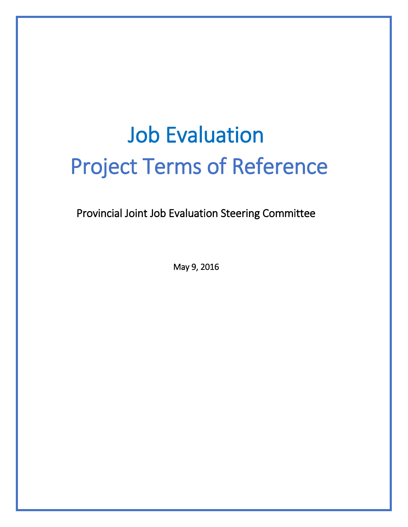# Job Evaluation Project Terms of Reference

Provincial Joint Job Evaluation Steering Committee

May 9, 2016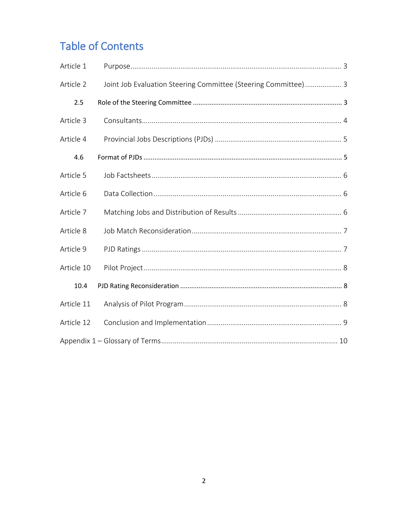# **Table of Contents**

| Article 1  |                                                                |
|------------|----------------------------------------------------------------|
| Article 2  | Joint Job Evaluation Steering Committee (Steering Committee) 3 |
| 2.5        |                                                                |
| Article 3  |                                                                |
| Article 4  |                                                                |
| 4.6        |                                                                |
| Article 5  |                                                                |
| Article 6  |                                                                |
| Article 7  |                                                                |
| Article 8  |                                                                |
| Article 9  |                                                                |
| Article 10 |                                                                |
| 10.4       |                                                                |
| Article 11 |                                                                |
| Article 12 |                                                                |
|            |                                                                |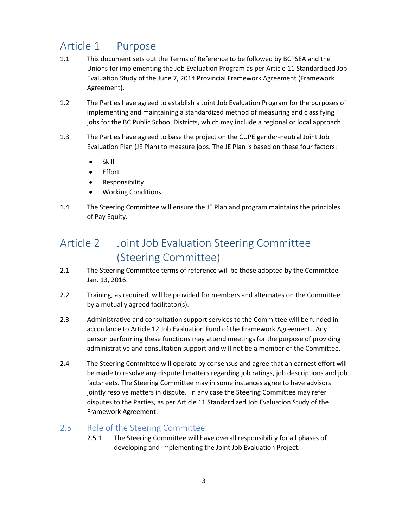## <span id="page-2-0"></span>Article 1 Purpose

- 1.1 This document sets out the Terms of Reference to be followed by BCPSEA and the Unions for implementing the Job Evaluation Program as per Article 11 Standardized Job Evaluation Study of the June 7, 2014 Provincial Framework Agreement (Framework Agreement).
- 1.2 The Parties have agreed to establish a Joint Job Evaluation Program for the purposes of implementing and maintaining a standardized method of measuring and classifying jobs for the BC Public School Districts, which may include a regional or local approach.
- 1.3 The Parties have agreed to base the project on the CUPE gender-neutral Joint Job Evaluation Plan (JE Plan) to measure jobs. The JE Plan is based on these four factors:
	- $\bullet$  Skill
	- Effort
	- Responsibility
	- Working Conditions
- 1.4 The Steering Committee will ensure the JE Plan and program maintains the principles of Pay Equity.

#### <span id="page-2-1"></span>Article 2 Joint Job Evaluation Steering Committee (Steering Committee)

- 2.1 The Steering Committee terms of reference will be those adopted by the Committee Jan. 13, 2016.
- 2.2 Training, as required, will be provided for members and alternates on the Committee by a mutually agreed facilitator(s).
- 2.3 Administrative and consultation support services to the Committee will be funded in accordance to Article 12 Job Evaluation Fund of the Framework Agreement. Any person performing these functions may attend meetings for the purpose of providing administrative and consultation support and will not be a member of the Committee.
- 2.4 The Steering Committee will operate by consensus and agree that an earnest effort will be made to resolve any disputed matters regarding job ratings, job descriptions and job factsheets. The Steering Committee may in some instances agree to have advisors jointly resolve matters in dispute. In any case the Steering Committee may refer disputes to the Parties, as per Article 11 Standardized Job Evaluation Study of the Framework Agreement.

#### <span id="page-2-2"></span>2.5 Role of the Steering Committee

2.5.1 The Steering Committee will have overall responsibility for all phases of developing and implementing the Joint Job Evaluation Project.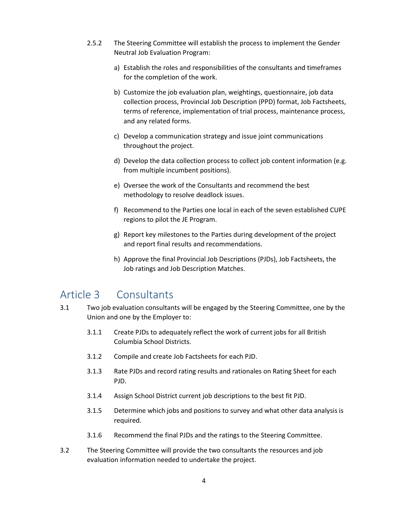- 2.5.2 The Steering Committee will establish the process to implement the Gender Neutral Job Evaluation Program:
	- a) Establish the roles and responsibilities of the consultants and timeframes for the completion of the work.
	- b) Customize the job evaluation plan, weightings, questionnaire, job data collection process, Provincial Job Description (PPD) format, Job Factsheets, terms of reference, implementation of trial process, maintenance process, and any related forms.
	- c) Develop a communication strategy and issue joint communications throughout the project.
	- d) Develop the data collection process to collect job content information (e.g. from multiple incumbent positions).
	- e) Oversee the work of the Consultants and recommend the best methodology to resolve deadlock issues.
	- f) Recommend to the Parties one local in each of the seven established CUPE regions to pilot the JE Program.
	- g) Report key milestones to the Parties during development of the project and report final results and recommendations.
	- h) Approve the final Provincial Job Descriptions (PJDs), Job Factsheets, the Job ratings and Job Description Matches.

#### <span id="page-3-0"></span>Article 3 Consultants

- 3.1 Two job evaluation consultants will be engaged by the Steering Committee, one by the Union and one by the Employer to:
	- 3.1.1 Create PJDs to adequately reflect the work of current jobs for all British Columbia School Districts.
	- 3.1.2 Compile and create Job Factsheets for each PJD.
	- 3.1.3 Rate PJDs and record rating results and rationales on Rating Sheet for each PJD.
	- 3.1.4 Assign School District current job descriptions to the best fit PJD.
	- 3.1.5 Determine which jobs and positions to survey and what other data analysis is required.
	- 3.1.6 Recommend the final PJDs and the ratings to the Steering Committee.
- 3.2 The Steering Committee will provide the two consultants the resources and job evaluation information needed to undertake the project.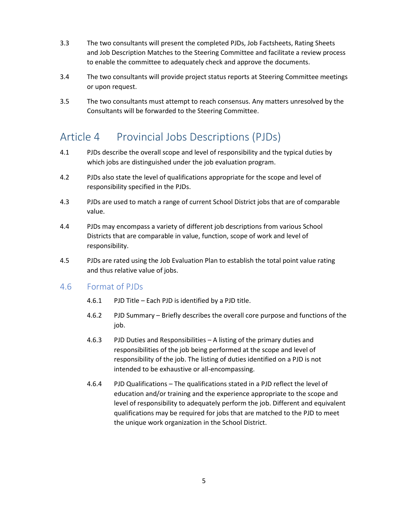- 3.3 The two consultants will present the completed PJDs, Job Factsheets, Rating Sheets and Job Description Matches to the Steering Committee and facilitate a review process to enable the committee to adequately check and approve the documents.
- 3.4 The two consultants will provide project status reports at Steering Committee meetings or upon request.
- 3.5 The two consultants must attempt to reach consensus. Any matters unresolved by the Consultants will be forwarded to the Steering Committee.

#### <span id="page-4-0"></span>Article 4 Provincial Jobs Descriptions (PJDs)

- 4.1 PJDs describe the overall scope and level of responsibility and the typical duties by which jobs are distinguished under the job evaluation program.
- 4.2 PJDs also state the level of qualifications appropriate for the scope and level of responsibility specified in the PJDs.
- 4.3 PJDs are used to match a range of current School District jobs that are of comparable value.
- 4.4 PJDs may encompass a variety of different job descriptions from various School Districts that are comparable in value, function, scope of work and level of responsibility.
- 4.5 PJDs are rated using the Job Evaluation Plan to establish the total point value rating and thus relative value of jobs.

#### <span id="page-4-1"></span>4.6 Format of PJDs

- 4.6.1 PJD Title Each PJD is identified by a PJD title.
- 4.6.2 PJD Summary Briefly describes the overall core purpose and functions of the job.
- 4.6.3 PJD Duties and Responsibilities A listing of the primary duties and responsibilities of the job being performed at the scope and level of responsibility of the job. The listing of duties identified on a PJD is not intended to be exhaustive or all-encompassing.
- 4.6.4 PJD Qualifications The qualifications stated in a PJD reflect the level of education and/or training and the experience appropriate to the scope and level of responsibility to adequately perform the job. Different and equivalent qualifications may be required for jobs that are matched to the PJD to meet the unique work organization in the School District.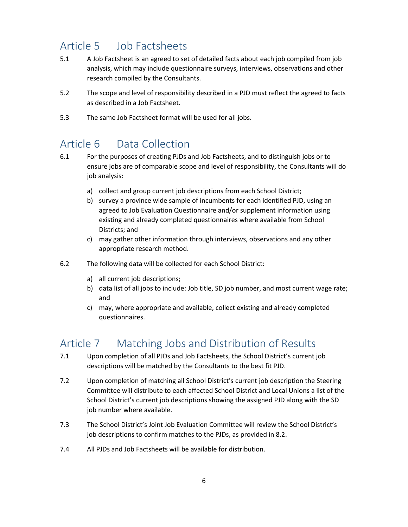## <span id="page-5-0"></span>Article 5 Job Factsheets

- 5.1 A Job Factsheet is an agreed to set of detailed facts about each job compiled from job analysis, which may include questionnaire surveys, interviews, observations and other research compiled by the Consultants.
- 5.2 The scope and level of responsibility described in a PJD must reflect the agreed to facts as described in a Job Factsheet.
- 5.3 The same Job Factsheet format will be used for all jobs.

#### <span id="page-5-1"></span>Article 6 Data Collection

- 6.1 For the purposes of creating PJDs and Job Factsheets, and to distinguish jobs or to ensure jobs are of comparable scope and level of responsibility, the Consultants will do job analysis:
	- a) collect and group current job descriptions from each School District;
	- b) survey a province wide sample of incumbents for each identified PJD, using an agreed to Job Evaluation Questionnaire and/or supplement information using existing and already completed questionnaires where available from School Districts; and
	- c) may gather other information through interviews, observations and any other appropriate research method.
- 6.2 The following data will be collected for each School District:
	- a) all current job descriptions;
	- b) data list of all jobs to include: Job title, SD job number, and most current wage rate; and
	- c) may, where appropriate and available, collect existing and already completed questionnaires.

#### <span id="page-5-2"></span>Article 7 Matching Jobs and Distribution of Results

- 7.1 Upon completion of all PJDs and Job Factsheets, the School District's current job descriptions will be matched by the Consultants to the best fit PJD.
- 7.2 Upon completion of matching all School District's current job description the Steering Committee will distribute to each affected School District and Local Unions a list of the School District's current job descriptions showing the assigned PJD along with the SD job number where available.
- 7.3 The School District's Joint Job Evaluation Committee will review the School District's job descriptions to confirm matches to the PJDs, as provided in 8.2.
- 7.4 All PJDs and Job Factsheets will be available for distribution.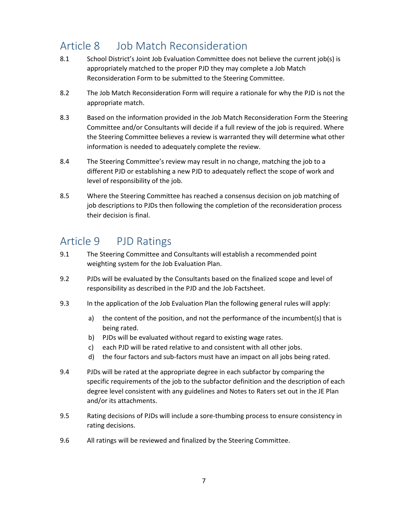#### <span id="page-6-0"></span>Article 8 Job Match Reconsideration

- 8.1 School District's Joint Job Evaluation Committee does not believe the current job(s) is appropriately matched to the proper PJD they may complete a Job Match Reconsideration Form to be submitted to the Steering Committee.
- 8.2 The Job Match Reconsideration Form will require a rationale for why the PJD is not the appropriate match.
- 8.3 Based on the information provided in the Job Match Reconsideration Form the Steering Committee and/or Consultants will decide if a full review of the job is required. Where the Steering Committee believes a review is warranted they will determine what other information is needed to adequately complete the review.
- 8.4 The Steering Committee's review may result in no change, matching the job to a different PJD or establishing a new PJD to adequately reflect the scope of work and level of responsibility of the job.
- 8.5 Where the Steering Committee has reached a consensus decision on job matching of job descriptions to PJDs then following the completion of the reconsideration process their decision is final.

#### <span id="page-6-1"></span>Article 9 PJD Ratings

- 9.1 The Steering Committee and Consultants will establish a recommended point weighting system for the Job Evaluation Plan.
- 9.2 PJDs will be evaluated by the Consultants based on the finalized scope and level of responsibility as described in the PJD and the Job Factsheet.
- 9.3 In the application of the Job Evaluation Plan the following general rules will apply:
	- a) the content of the position, and not the performance of the incumbent(s) that is being rated.
	- b) PJDs will be evaluated without regard to existing wage rates.
	- c) each PJD will be rated relative to and consistent with all other jobs.
	- d) the four factors and sub-factors must have an impact on all jobs being rated.
- 9.4 PJDs will be rated at the appropriate degree in each subfactor by comparing the specific requirements of the job to the subfactor definition and the description of each degree level consistent with any guidelines and Notes to Raters set out in the JE Plan and/or its attachments.
- 9.5 Rating decisions of PJDs will include a sore-thumbing process to ensure consistency in rating decisions.
- 9.6 All ratings will be reviewed and finalized by the Steering Committee.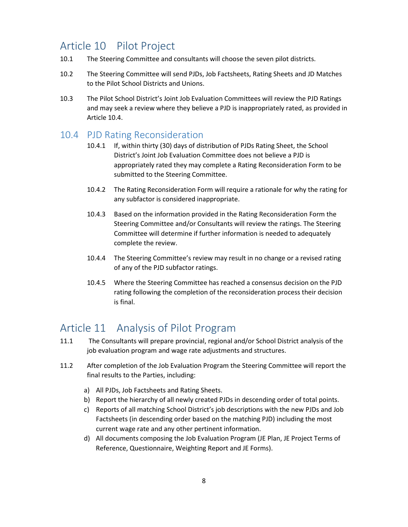#### <span id="page-7-0"></span>Article 10 Pilot Project

- 10.1 The Steering Committee and consultants will choose the seven pilot districts.
- 10.2 The Steering Committee will send PJDs, Job Factsheets, Rating Sheets and JD Matches to the Pilot School Districts and Unions.
- 10.3 The Pilot School District's Joint Job Evaluation Committees will review the PJD Ratings and may seek a review where they believe a PJD is inappropriately rated, as provided in Article [10.4.](#page-7-1)

#### <span id="page-7-1"></span>10.4 PJD Rating Reconsideration

- 10.4.1 If, within thirty (30) days of distribution of PJDs Rating Sheet, the School District's Joint Job Evaluation Committee does not believe a PJD is appropriately rated they may complete a Rating Reconsideration Form to be submitted to the Steering Committee.
- 10.4.2 The Rating Reconsideration Form will require a rationale for why the rating for any subfactor is considered inappropriate.
- 10.4.3 Based on the information provided in the Rating Reconsideration Form the Steering Committee and/or Consultants will review the ratings. The Steering Committee will determine if further information is needed to adequately complete the review.
- 10.4.4 The Steering Committee's review may result in no change or a revised rating of any of the PJD subfactor ratings.
- 10.4.5 Where the Steering Committee has reached a consensus decision on the PJD rating following the completion of the reconsideration process their decision is final.

#### <span id="page-7-2"></span>Article 11 Analysis of Pilot Program

- 11.1 The Consultants will prepare provincial, regional and/or School District analysis of the job evaluation program and wage rate adjustments and structures.
- 11.2 After completion of the Job Evaluation Program the Steering Committee will report the final results to the Parties, including:
	- a) All PJDs, Job Factsheets and Rating Sheets.
	- b) Report the hierarchy of all newly created PJDs in descending order of total points.
	- c) Reports of all matching School District's job descriptions with the new PJDs and Job Factsheets (in descending order based on the matching PJD) including the most current wage rate and any other pertinent information.
	- d) All documents composing the Job Evaluation Program (JE Plan, JE Project Terms of Reference, Questionnaire, Weighting Report and JE Forms).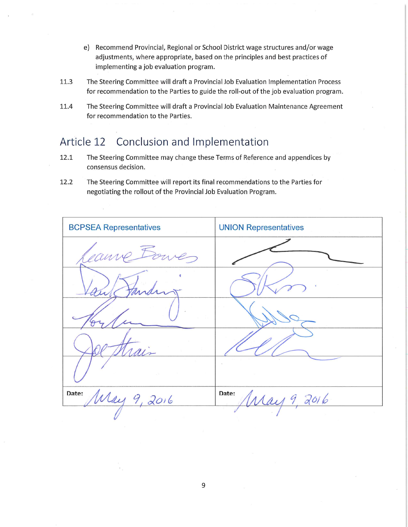- e) Recommend Provincial, Regional or School District wage structures and/or wage adjustments, where appropriate, based on the principles and best practices of implementing a job evaluation program.
- 11.3 The Steering Committee will draft a Provincial Job Evaluation Implementation Process for recommendation to the Parties to guide the roll-out of the job evaluation program.
- 11.4 The Steering Committee will draft a Provincial Job Evaluation Maintenance Agreement for recommendation to the Parties.

#### Article 12 Conclusion and Implementation

- 12.1 The Steering Committee may change these Terms of Reference and appendices by consensus decision.
- 12.2 The Steering Committee will report its final recommendations to the Parties for negotiating the rollout of the Provincial Job Evaluation Program.

| <b>BCPSEA Representatives</b> | <b>UNION Representatives</b> |
|-------------------------------|------------------------------|
| Jann<br>ves                   |                              |
|                               |                              |
|                               |                              |
|                               |                              |
|                               |                              |
| Date:<br>Way 9, 2016          | Date:<br>May 9, 2016         |
|                               |                              |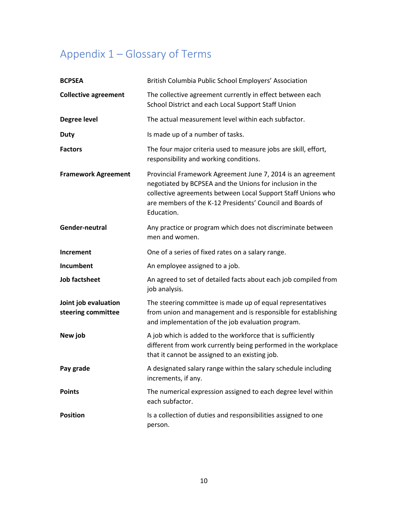# <span id="page-9-0"></span>Appendix 1 – Glossary of Terms

| <b>BCPSEA</b>                              | British Columbia Public School Employers' Association                                                                                                                                                                                                              |
|--------------------------------------------|--------------------------------------------------------------------------------------------------------------------------------------------------------------------------------------------------------------------------------------------------------------------|
| <b>Collective agreement</b>                | The collective agreement currently in effect between each<br>School District and each Local Support Staff Union                                                                                                                                                    |
| <b>Degree level</b>                        | The actual measurement level within each subfactor.                                                                                                                                                                                                                |
| <b>Duty</b>                                | Is made up of a number of tasks.                                                                                                                                                                                                                                   |
| <b>Factors</b>                             | The four major criteria used to measure jobs are skill, effort,<br>responsibility and working conditions.                                                                                                                                                          |
| <b>Framework Agreement</b>                 | Provincial Framework Agreement June 7, 2014 is an agreement<br>negotiated by BCPSEA and the Unions for inclusion in the<br>collective agreements between Local Support Staff Unions who<br>are members of the K-12 Presidents' Council and Boards of<br>Education. |
| Gender-neutral                             | Any practice or program which does not discriminate between<br>men and women.                                                                                                                                                                                      |
| Increment                                  | One of a series of fixed rates on a salary range.                                                                                                                                                                                                                  |
| Incumbent                                  | An employee assigned to a job.                                                                                                                                                                                                                                     |
| <b>Job factsheet</b>                       | An agreed to set of detailed facts about each job compiled from<br>job analysis.                                                                                                                                                                                   |
| Joint job evaluation<br>steering committee | The steering committee is made up of equal representatives<br>from union and management and is responsible for establishing<br>and implementation of the job evaluation program.                                                                                   |
| New job                                    | A job which is added to the workforce that is sufficiently<br>different from work currently being performed in the workplace<br>that it cannot be assigned to an existing job.                                                                                     |
| Pay grade                                  | A designated salary range within the salary schedule including<br>increments, if any.                                                                                                                                                                              |
| <b>Points</b>                              | The numerical expression assigned to each degree level within<br>each subfactor.                                                                                                                                                                                   |
| <b>Position</b>                            | Is a collection of duties and responsibilities assigned to one<br>person.                                                                                                                                                                                          |